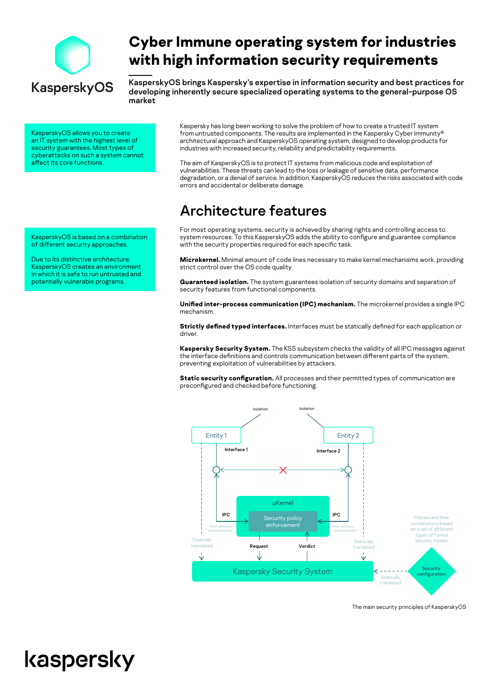

# **Cyber Immune operating system for industries with high information security requirements**

KasperskyOS brings Kaspersky's expertise in information security and best practices for developing inherently secure specialized operating systems to the general-purpose OS market

KasperskyOS allows you to create an IT system with the highest level of security guarantees. Most types of cyberattacks on such a system cannot affect its core functions.

KasperskyOS is based on a combination of different security approaches.

Due to its distinctive architecture, KasperskyOS creates an environment in which it is safe to run untrusted and potentially vulnerable programs.

Kaspersky has long been working to solve the problem of how to create a trusted IT system from untrusted components. The results are implemented in the Kaspersky Cyber Immunity® architectural approach and KasperskyOS operating system, designed to develop products for industries with increased security, reliability and predictability requirements.

The aim of KasperskyOS is to protect IT systems from malicious code and exploitation of vulnerabilities. These threats can lead to the loss or leakage of sensitive data, performance degradation, or a denial of service. In addition, KasperskyOS reduces the risks associated with code errors and accidental or deliberate damage.

# Architecture features

For most operating systems, security is achieved by sharing rights and controlling access to system resources. To this KasperskyOS adds the ability to configure and guarantee compliance with the security properties required for each specific task.

**Microkernel.** Minimal amount of code lines necessary to make kernel mechanisms work, providing strict control over the OS code quality.

**Guaranteed isolation.** The system guarantees isolation of security domains and separation of security features from functional components.

**Unified inter-process communication (IPC) mechanism.** The microkernel provides a single IPC mechanism.

**Strictly defined typed interfaces.** Interfaces must be statically defined for each application or driver.

**Kaspersky Security System.** The KSS subsystem checks the validity of all IPC messages against the interface definitions and controls communication between different parts of the system, preventing exploitation of vulnerabilities by attackers.

**Static security configuration.** All processes and their permitted types of communication are preconfigured and checked before functioning.



The main security principles of KasperskyOS

# kaspersky